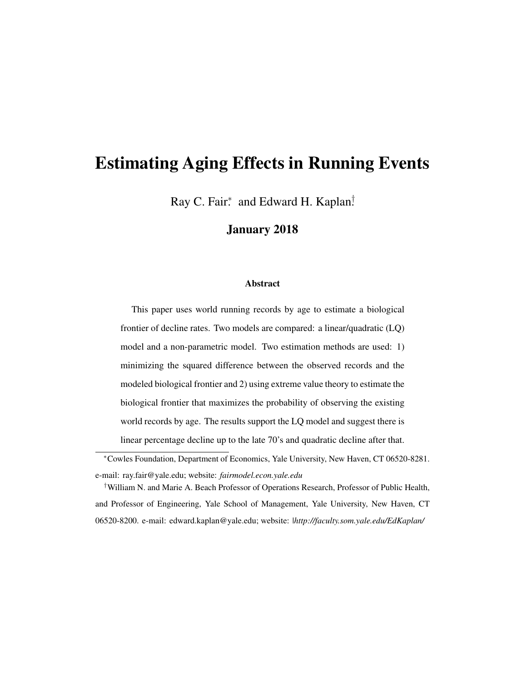# Estimating Aging Effects in Running Events

Ray C. Fair<sup>\*</sup> and Edward H. Kaplan<sup>†</sup>

#### January 2018

#### Abstract

This paper uses world running records by age to estimate a biological frontier of decline rates. Two models are compared: a linear/quadratic (LQ) model and a non-parametric model. Two estimation methods are used: 1) minimizing the squared difference between the observed records and the modeled biological frontier and 2) using extreme value theory to estimate the biological frontier that maximizes the probability of observing the existing world records by age. The results support the LQ model and suggest there is linear percentage decline up to the late 70's and quadratic decline after that.

†William N. and Marie A. Beach Professor of Operations Research, Professor of Public Health, and Professor of Engineering, Yale School of Management, Yale University, New Haven, CT 06520-8200. e-mail: edward.kaplan@yale.edu; website: |*http://faculty.som.yale.edu/EdKaplan/*

<sup>∗</sup>Cowles Foundation, Department of Economics, Yale University, New Haven, CT 06520-8281. e-mail: ray.fair@yale.edu; website: *fairmodel.econ.yale.edu*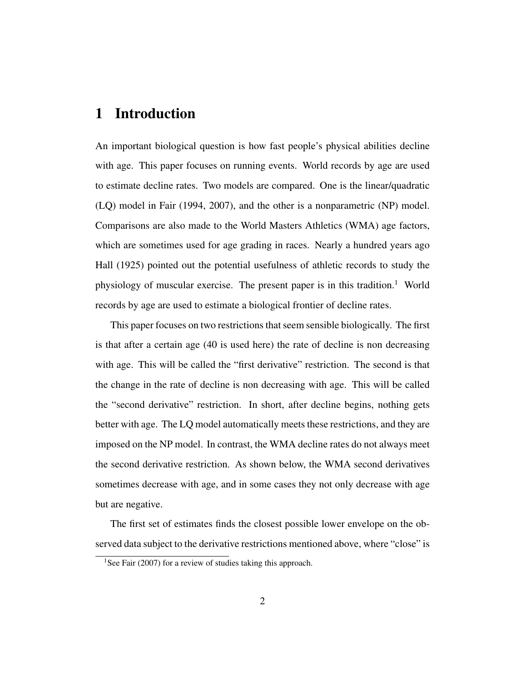### 1 Introduction

An important biological question is how fast people's physical abilities decline with age. This paper focuses on running events. World records by age are used to estimate decline rates. Two models are compared. One is the linear/quadratic (LQ) model in Fair (1994, 2007), and the other is a nonparametric (NP) model. Comparisons are also made to the World Masters Athletics (WMA) age factors, which are sometimes used for age grading in races. Nearly a hundred years ago Hall (1925) pointed out the potential usefulness of athletic records to study the physiology of muscular exercise. The present paper is in this tradition.<sup>1</sup> World records by age are used to estimate a biological frontier of decline rates.

This paper focuses on two restrictions that seem sensible biologically. The first is that after a certain age (40 is used here) the rate of decline is non decreasing with age. This will be called the "first derivative" restriction. The second is that the change in the rate of decline is non decreasing with age. This will be called the "second derivative" restriction. In short, after decline begins, nothing gets better with age. The LQ model automatically meets these restrictions, and they are imposed on the NP model. In contrast, the WMA decline rates do not always meet the second derivative restriction. As shown below, the WMA second derivatives sometimes decrease with age, and in some cases they not only decrease with age but are negative.

The first set of estimates finds the closest possible lower envelope on the observed data subject to the derivative restrictions mentioned above, where "close" is

<sup>&</sup>lt;sup>1</sup>See Fair (2007) for a review of studies taking this approach.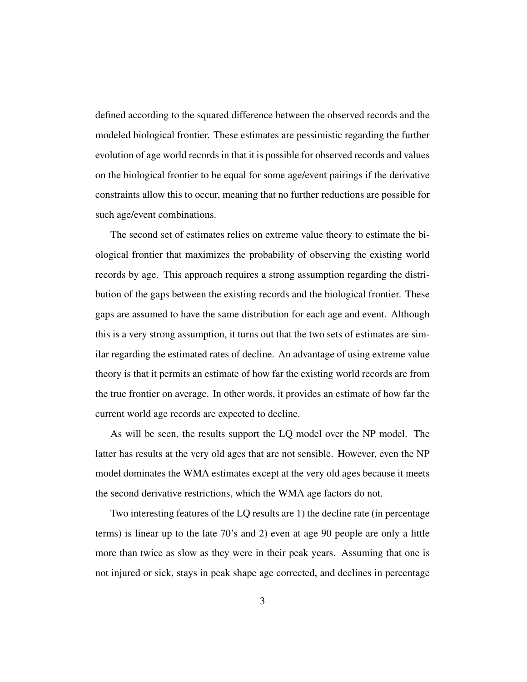defined according to the squared difference between the observed records and the modeled biological frontier. These estimates are pessimistic regarding the further evolution of age world records in that it is possible for observed records and values on the biological frontier to be equal for some age/event pairings if the derivative constraints allow this to occur, meaning that no further reductions are possible for such age/event combinations.

The second set of estimates relies on extreme value theory to estimate the biological frontier that maximizes the probability of observing the existing world records by age. This approach requires a strong assumption regarding the distribution of the gaps between the existing records and the biological frontier. These gaps are assumed to have the same distribution for each age and event. Although this is a very strong assumption, it turns out that the two sets of estimates are similar regarding the estimated rates of decline. An advantage of using extreme value theory is that it permits an estimate of how far the existing world records are from the true frontier on average. In other words, it provides an estimate of how far the current world age records are expected to decline.

As will be seen, the results support the LQ model over the NP model. The latter has results at the very old ages that are not sensible. However, even the NP model dominates the WMA estimates except at the very old ages because it meets the second derivative restrictions, which the WMA age factors do not.

Two interesting features of the LQ results are 1) the decline rate (in percentage terms) is linear up to the late 70's and 2) even at age 90 people are only a little more than twice as slow as they were in their peak years. Assuming that one is not injured or sick, stays in peak shape age corrected, and declines in percentage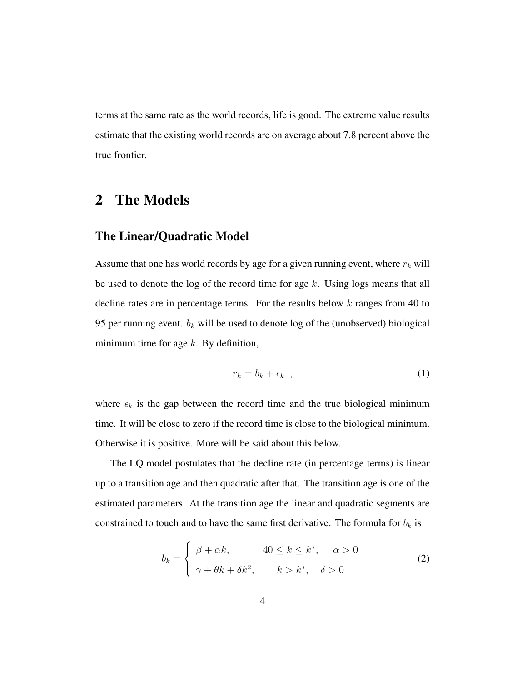terms at the same rate as the world records, life is good. The extreme value results estimate that the existing world records are on average about 7.8 percent above the true frontier.

### 2 The Models

#### The Linear/Quadratic Model

Assume that one has world records by age for a given running event, where  $r_k$  will be used to denote the log of the record time for age  $k$ . Using logs means that all decline rates are in percentage terms. For the results below  $k$  ranges from 40 to 95 per running event.  $b_k$  will be used to denote log of the (unobserved) biological minimum time for age  $k$ . By definition,

$$
r_k = b_k + \epsilon_k \t\t(1)
$$

where  $\epsilon_k$  is the gap between the record time and the true biological minimum time. It will be close to zero if the record time is close to the biological minimum. Otherwise it is positive. More will be said about this below.

The LQ model postulates that the decline rate (in percentage terms) is linear up to a transition age and then quadratic after that. The transition age is one of the estimated parameters. At the transition age the linear and quadratic segments are constrained to touch and to have the same first derivative. The formula for  $b_k$  is

$$
b_k = \begin{cases} \beta + \alpha k, & 40 \le k \le k^*, \quad \alpha > 0 \\ \gamma + \theta k + \delta k^2, & k > k^*, \quad \delta > 0 \end{cases}
$$
 (2)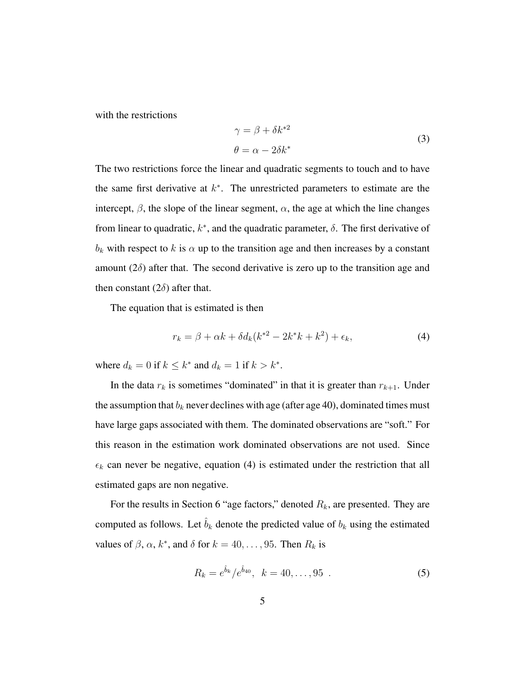with the restrictions

$$
\gamma = \beta + \delta k^{*2}
$$
  
\n
$$
\theta = \alpha - 2\delta k^*
$$
\n(3)

The two restrictions force the linear and quadratic segments to touch and to have the same first derivative at  $k^*$ . The unrestricted parameters to estimate are the intercept,  $\beta$ , the slope of the linear segment,  $\alpha$ , the age at which the line changes from linear to quadratic,  $k^*$ , and the quadratic parameter,  $\delta$ . The first derivative of  $b_k$  with respect to k is  $\alpha$  up to the transition age and then increases by a constant amount  $(2\delta)$  after that. The second derivative is zero up to the transition age and then constant  $(2\delta)$  after that.

The equation that is estimated is then

$$
r_k = \beta + \alpha k + \delta d_k (k^{*2} - 2k^*k + k^2) + \epsilon_k,
$$
\n(4)

where  $d_k = 0$  if  $k \leq k^*$  and  $d_k = 1$  if  $k > k^*$ .

In the data  $r_k$  is sometimes "dominated" in that it is greater than  $r_{k+1}$ . Under the assumption that  $b_k$  never declines with age (after age 40), dominated times must have large gaps associated with them. The dominated observations are "soft." For this reason in the estimation work dominated observations are not used. Since  $\epsilon_k$  can never be negative, equation (4) is estimated under the restriction that all estimated gaps are non negative.

For the results in Section 6 "age factors," denoted  $R_k$ , are presented. They are computed as follows. Let  $\hat{b}_k$  denote the predicted value of  $b_k$  using the estimated values of  $\beta$ ,  $\alpha$ ,  $k^*$ , and  $\delta$  for  $k = 40, \ldots, 95$ . Then  $R_k$  is

$$
R_k = e^{\hat{b}_k} / e^{\hat{b}_{40}}, \quad k = 40, \dots, 95 \tag{5}
$$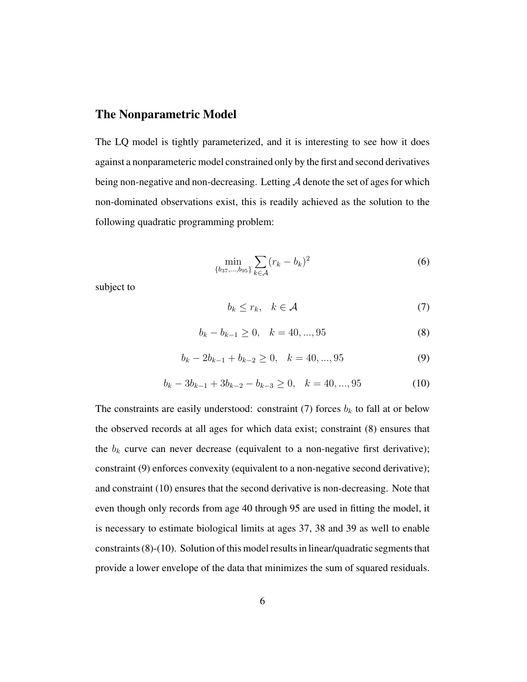#### The Nonparametric Model

The LQ model is tightly parameterized, and it is interesting to see how it does against a nonparameteric model constrained only by the first and second derivatives being non-negative and non-decreasing. Letting  $A$  denote the set of ages for which non-dominated observations exist, this is readily achieved as the solution to the following quadratic programming problem:

$$
\min_{\{b_{37},\dots,b_{95}\}} \sum_{k\in\mathcal{A}} (r_k - b_k)^2
$$
 (6)

subject to

$$
b_k \le r_k, \quad k \in \mathcal{A} \tag{7}
$$

$$
b_k - b_{k-1} \ge 0, \quad k = 40, \dots, 95 \tag{8}
$$

$$
b_k - 2b_{k-1} + b_{k-2} \ge 0, \quad k = 40, ..., 95
$$
 (9)

$$
b_k - 3b_{k-1} + 3b_{k-2} - b_{k-3} \ge 0, \quad k = 40, ..., 95
$$
 (10)

The constraints are easily understood: constraint (7) forces  $b_k$  to fall at or below the observed records at all ages for which data exist; constraint (8) ensures that the  $b_k$  curve can never decrease (equivalent to a non-negative first derivative); constraint (9) enforces convexity (equivalent to a non-negative second derivative); and constraint (10) ensures that the second derivative is non-decreasing. Note that even though only records from age 40 through 95 are used in fitting the model, it is necessary to estimate biological limits at ages 37, 38 and 39 as well to enable constraints (8)-(10). Solution of this model results in linear/quadratic segments that provide a lower envelope of the data that minimizes the sum of squared residuals.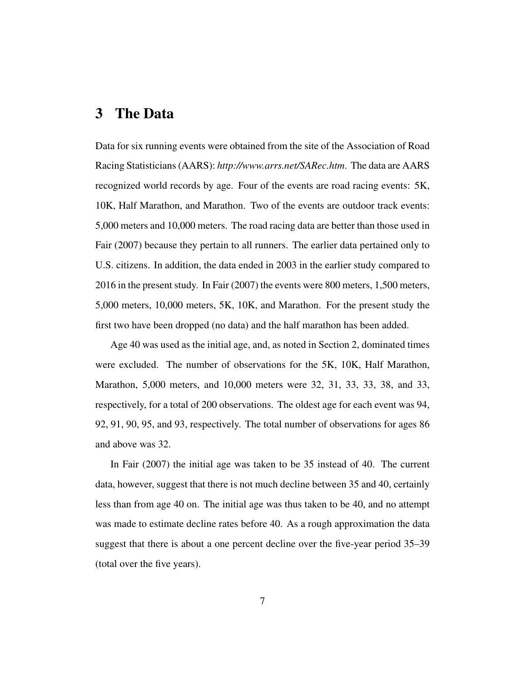### 3 The Data

Data for six running events were obtained from the site of the Association of Road Racing Statisticians (AARS): *http://www.arrs.net/SARec.htm*. The data are AARS recognized world records by age. Four of the events are road racing events: 5K, 10K, Half Marathon, and Marathon. Two of the events are outdoor track events: 5,000 meters and 10,000 meters. The road racing data are better than those used in Fair (2007) because they pertain to all runners. The earlier data pertained only to U.S. citizens. In addition, the data ended in 2003 in the earlier study compared to 2016 in the present study. In Fair (2007) the events were 800 meters, 1,500 meters, 5,000 meters, 10,000 meters, 5K, 10K, and Marathon. For the present study the first two have been dropped (no data) and the half marathon has been added.

Age 40 was used as the initial age, and, as noted in Section 2, dominated times were excluded. The number of observations for the 5K, 10K, Half Marathon, Marathon, 5,000 meters, and 10,000 meters were 32, 31, 33, 33, 38, and 33, respectively, for a total of 200 observations. The oldest age for each event was 94, 92, 91, 90, 95, and 93, respectively. The total number of observations for ages 86 and above was 32.

In Fair (2007) the initial age was taken to be 35 instead of 40. The current data, however, suggest that there is not much decline between 35 and 40, certainly less than from age 40 on. The initial age was thus taken to be 40, and no attempt was made to estimate decline rates before 40. As a rough approximation the data suggest that there is about a one percent decline over the five-year period 35–39 (total over the five years).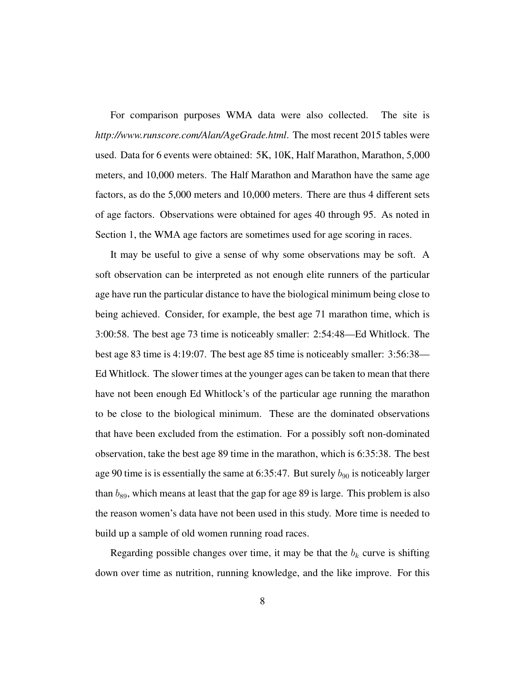For comparison purposes WMA data were also collected. The site is *http://www.runscore.com/Alan/AgeGrade.html*. The most recent 2015 tables were used. Data for 6 events were obtained: 5K, 10K, Half Marathon, Marathon, 5,000 meters, and 10,000 meters. The Half Marathon and Marathon have the same age factors, as do the 5,000 meters and 10,000 meters. There are thus 4 different sets of age factors. Observations were obtained for ages 40 through 95. As noted in Section 1, the WMA age factors are sometimes used for age scoring in races.

It may be useful to give a sense of why some observations may be soft. A soft observation can be interpreted as not enough elite runners of the particular age have run the particular distance to have the biological minimum being close to being achieved. Consider, for example, the best age 71 marathon time, which is 3:00:58. The best age 73 time is noticeably smaller: 2:54:48—Ed Whitlock. The best age 83 time is 4:19:07. The best age 85 time is noticeably smaller: 3:56:38— Ed Whitlock. The slower times at the younger ages can be taken to mean that there have not been enough Ed Whitlock's of the particular age running the marathon to be close to the biological minimum. These are the dominated observations that have been excluded from the estimation. For a possibly soft non-dominated observation, take the best age 89 time in the marathon, which is 6:35:38. The best age 90 time is is essentially the same at 6:35:47. But surely  $b_{90}$  is noticeably larger than  $b_{89}$ , which means at least that the gap for age 89 is large. This problem is also the reason women's data have not been used in this study. More time is needed to build up a sample of old women running road races.

Regarding possible changes over time, it may be that the  $b_k$  curve is shifting down over time as nutrition, running knowledge, and the like improve. For this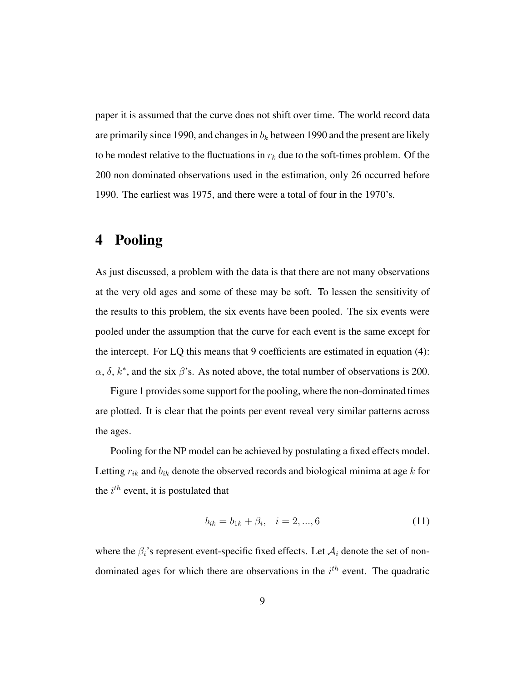paper it is assumed that the curve does not shift over time. The world record data are primarily since 1990, and changes in  $b_k$  between 1990 and the present are likely to be modest relative to the fluctuations in  $r_k$  due to the soft-times problem. Of the 200 non dominated observations used in the estimation, only 26 occurred before 1990. The earliest was 1975, and there were a total of four in the 1970's.

## 4 Pooling

As just discussed, a problem with the data is that there are not many observations at the very old ages and some of these may be soft. To lessen the sensitivity of the results to this problem, the six events have been pooled. The six events were pooled under the assumption that the curve for each event is the same except for the intercept. For LQ this means that 9 coefficients are estimated in equation (4):  $\alpha$ ,  $\delta$ ,  $k^*$ , and the six  $\beta$ 's. As noted above, the total number of observations is 200.

Figure 1 provides some support for the pooling, where the non-dominated times are plotted. It is clear that the points per event reveal very similar patterns across the ages.

Pooling for the NP model can be achieved by postulating a fixed effects model. Letting  $r_{ik}$  and  $b_{ik}$  denote the observed records and biological minima at age k for the  $i^{th}$  event, it is postulated that

$$
b_{ik} = b_{1k} + \beta_i, \quad i = 2, ..., 6 \tag{11}
$$

where the  $\beta_i$ 's represent event-specific fixed effects. Let  $A_i$  denote the set of nondominated ages for which there are observations in the  $i<sup>th</sup>$  event. The quadratic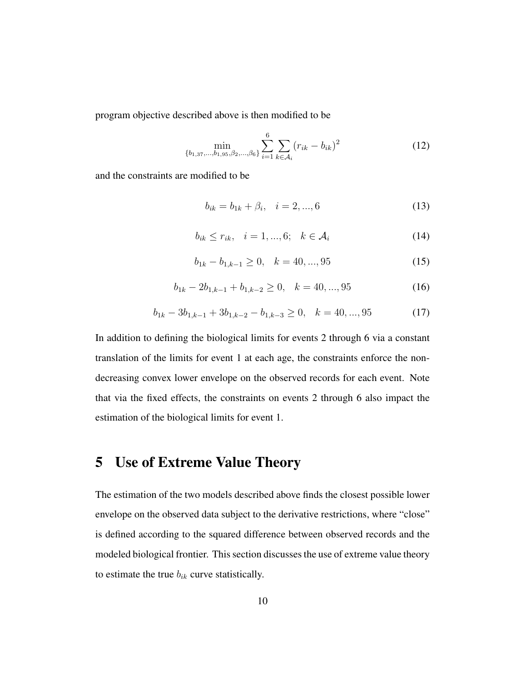program objective described above is then modified to be

$$
\min_{\{b_{1,37},\ldots,b_{1,95},\beta_{2},\ldots,\beta_{6}\}} \sum_{i=1}^{6} \sum_{k \in A_{i}} (r_{ik} - b_{ik})^{2}
$$
 (12)

and the constraints are modified to be

$$
b_{ik} = b_{1k} + \beta_i, \quad i = 2, ..., 6 \tag{13}
$$

$$
b_{ik} \le r_{ik}, \quad i = 1, \dots, 6; \quad k \in \mathcal{A}_i \tag{14}
$$

$$
b_{1k} - b_{1,k-1} \ge 0, \quad k = 40, \dots, 95 \tag{15}
$$

$$
b_{1k} - 2b_{1,k-1} + b_{1,k-2} \ge 0, \quad k = 40, ..., 95
$$
 (16)

$$
b_{1k} - 3b_{1,k-1} + 3b_{1,k-2} - b_{1,k-3} \ge 0, \quad k = 40, ..., 95
$$
 (17)

In addition to defining the biological limits for events 2 through 6 via a constant translation of the limits for event 1 at each age, the constraints enforce the nondecreasing convex lower envelope on the observed records for each event. Note that via the fixed effects, the constraints on events 2 through 6 also impact the estimation of the biological limits for event 1.

#### 5 Use of Extreme Value Theory

The estimation of the two models described above finds the closest possible lower envelope on the observed data subject to the derivative restrictions, where "close" is defined according to the squared difference between observed records and the modeled biological frontier. This section discusses the use of extreme value theory to estimate the true  $b_{ik}$  curve statistically.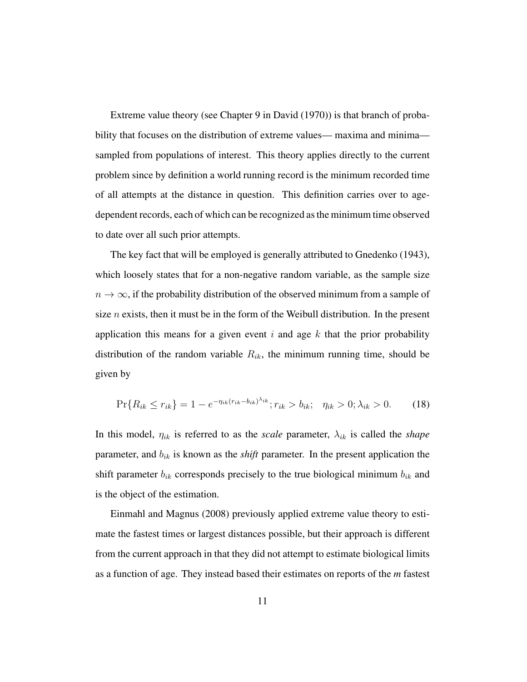Extreme value theory (see Chapter 9 in David (1970)) is that branch of probability that focuses on the distribution of extreme values— maxima and minima sampled from populations of interest. This theory applies directly to the current problem since by definition a world running record is the minimum recorded time of all attempts at the distance in question. This definition carries over to agedependent records, each of which can be recognized as the minimum time observed to date over all such prior attempts.

The key fact that will be employed is generally attributed to Gnedenko (1943), which loosely states that for a non-negative random variable, as the sample size  $n \to \infty$ , if the probability distribution of the observed minimum from a sample of size  $n$  exists, then it must be in the form of the Weibull distribution. In the present application this means for a given event i and age  $k$  that the prior probability distribution of the random variable  $R_{ik}$ , the minimum running time, should be given by

$$
\Pr\{R_{ik} \le r_{ik}\} = 1 - e^{-\eta_{ik}(r_{ik} - b_{ik})^{\lambda_{ik}}}; r_{ik} > b_{ik}; \quad \eta_{ik} > 0; \lambda_{ik} > 0. \tag{18}
$$

In this model,  $\eta_{ik}$  is referred to as the *scale* parameter,  $\lambda_{ik}$  is called the *shape* parameter, and  $b_{ik}$  is known as the *shift* parameter. In the present application the shift parameter  $b_{ik}$  corresponds precisely to the true biological minimum  $b_{ik}$  and is the object of the estimation.

Einmahl and Magnus (2008) previously applied extreme value theory to estimate the fastest times or largest distances possible, but their approach is different from the current approach in that they did not attempt to estimate biological limits as a function of age. They instead based their estimates on reports of the *m* fastest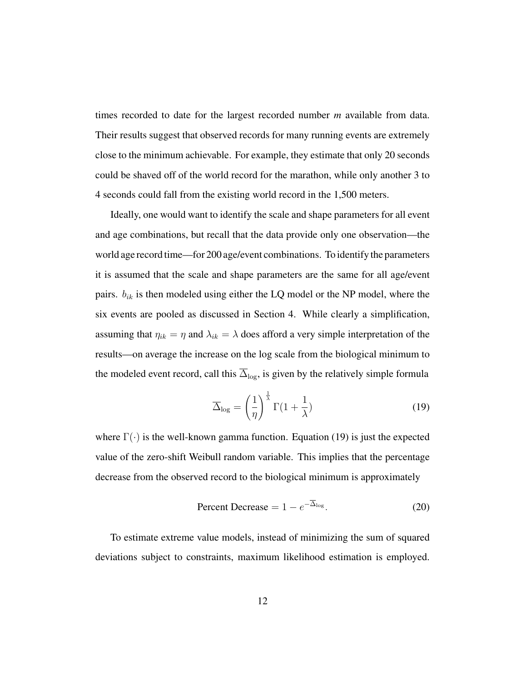times recorded to date for the largest recorded number *m* available from data. Their results suggest that observed records for many running events are extremely close to the minimum achievable. For example, they estimate that only 20 seconds could be shaved off of the world record for the marathon, while only another 3 to 4 seconds could fall from the existing world record in the 1,500 meters.

Ideally, one would want to identify the scale and shape parameters for all event and age combinations, but recall that the data provide only one observation—the world age record time—for 200 age/event combinations. To identify the parameters it is assumed that the scale and shape parameters are the same for all age/event pairs.  $b_{ik}$  is then modeled using either the LQ model or the NP model, where the six events are pooled as discussed in Section 4. While clearly a simplification, assuming that  $\eta_{ik} = \eta$  and  $\lambda_{ik} = \lambda$  does afford a very simple interpretation of the results—on average the increase on the log scale from the biological minimum to the modeled event record, call this  $\overline{\Delta}_{\text{log}}$ , is given by the relatively simple formula

$$
\overline{\Delta}_{\text{log}} = \left(\frac{1}{\eta}\right)^{\frac{1}{\lambda}} \Gamma(1 + \frac{1}{\lambda}) \tag{19}
$$

where  $\Gamma(\cdot)$  is the well-known gamma function. Equation (19) is just the expected value of the zero-shift Weibull random variable. This implies that the percentage decrease from the observed record to the biological minimum is approximately

$$
Percent Decrease = 1 - e^{-\overline{\Delta}_{\log}}.
$$
 (20)

To estimate extreme value models, instead of minimizing the sum of squared deviations subject to constraints, maximum likelihood estimation is employed.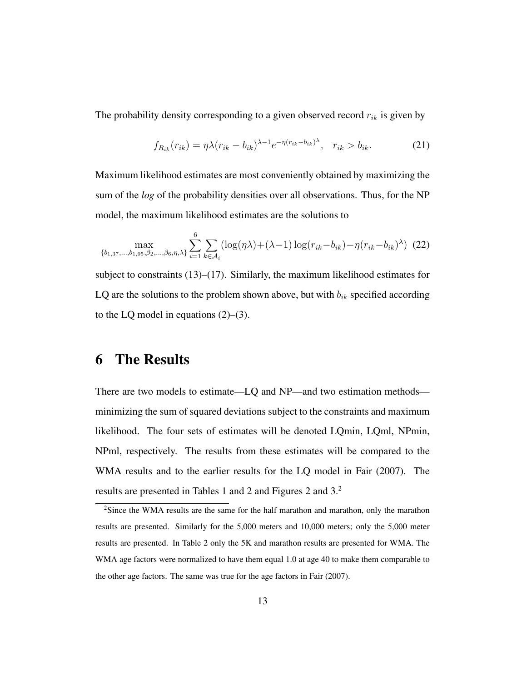The probability density corresponding to a given observed record  $r_{ik}$  is given by

$$
f_{R_{ik}}(r_{ik}) = \eta \lambda (r_{ik} - b_{ik})^{\lambda - 1} e^{-\eta (r_{ik} - b_{ik})^{\lambda}}, \quad r_{ik} > b_{ik}.
$$
 (21)

Maximum likelihood estimates are most conveniently obtained by maximizing the sum of the *log* of the probability densities over all observations. Thus, for the NP model, the maximum likelihood estimates are the solutions to

$$
\max_{\{b_{1,37},\ldots,b_{1,95},\beta_{2},\ldots,\beta_{6},\eta,\lambda\}} \sum_{i=1}^{6} \sum_{k \in \mathcal{A}_{i}} (\log(\eta \lambda) + (\lambda - 1) \log(r_{ik} - b_{ik}) - \eta (r_{ik} - b_{ik})^{\lambda}) (22)
$$

subject to constraints  $(13)$ – $(17)$ . Similarly, the maximum likelihood estimates for LQ are the solutions to the problem shown above, but with  $b_{ik}$  specified according to the LQ model in equations  $(2)$ – $(3)$ .

### 6 The Results

There are two models to estimate—LQ and NP—and two estimation methods minimizing the sum of squared deviations subject to the constraints and maximum likelihood. The four sets of estimates will be denoted LQmin, LQml, NPmin, NPml, respectively. The results from these estimates will be compared to the WMA results and to the earlier results for the LQ model in Fair (2007). The results are presented in Tables 1 and 2 and Figures 2 and 3.<sup>2</sup>

<sup>&</sup>lt;sup>2</sup>Since the WMA results are the same for the half marathon and marathon, only the marathon results are presented. Similarly for the 5,000 meters and 10,000 meters; only the 5,000 meter results are presented. In Table 2 only the 5K and marathon results are presented for WMA. The WMA age factors were normalized to have them equal 1.0 at age 40 to make them comparable to the other age factors. The same was true for the age factors in Fair (2007).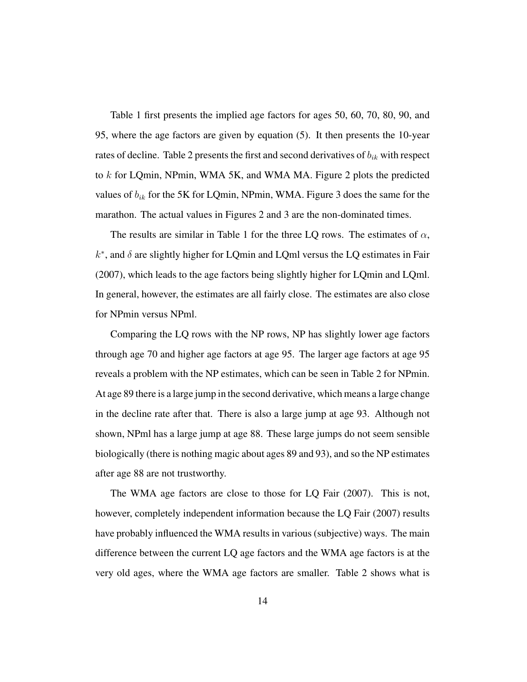Table 1 first presents the implied age factors for ages 50, 60, 70, 80, 90, and 95, where the age factors are given by equation (5). It then presents the 10-year rates of decline. Table 2 presents the first and second derivatives of  $b_{ik}$  with respect to k for LQmin, NPmin, WMA 5K, and WMA MA. Figure 2 plots the predicted values of  $b_{ik}$  for the 5K for LQmin, NPmin, WMA. Figure 3 does the same for the marathon. The actual values in Figures 2 and 3 are the non-dominated times.

The results are similar in Table 1 for the three LQ rows. The estimates of  $\alpha$ ,  $k^*$ , and  $\delta$  are slightly higher for LQmin and LQml versus the LQ estimates in Fair (2007), which leads to the age factors being slightly higher for LQmin and LQml. In general, however, the estimates are all fairly close. The estimates are also close for NPmin versus NPml.

Comparing the LQ rows with the NP rows, NP has slightly lower age factors through age 70 and higher age factors at age 95. The larger age factors at age 95 reveals a problem with the NP estimates, which can be seen in Table 2 for NPmin. At age 89 there is a large jump in the second derivative, which means a large change in the decline rate after that. There is also a large jump at age 93. Although not shown, NPml has a large jump at age 88. These large jumps do not seem sensible biologically (there is nothing magic about ages 89 and 93), and so the NP estimates after age 88 are not trustworthy.

The WMA age factors are close to those for LQ Fair (2007). This is not, however, completely independent information because the LQ Fair (2007) results have probably influenced the WMA results in various (subjective) ways. The main difference between the current LQ age factors and the WMA age factors is at the very old ages, where the WMA age factors are smaller. Table 2 shows what is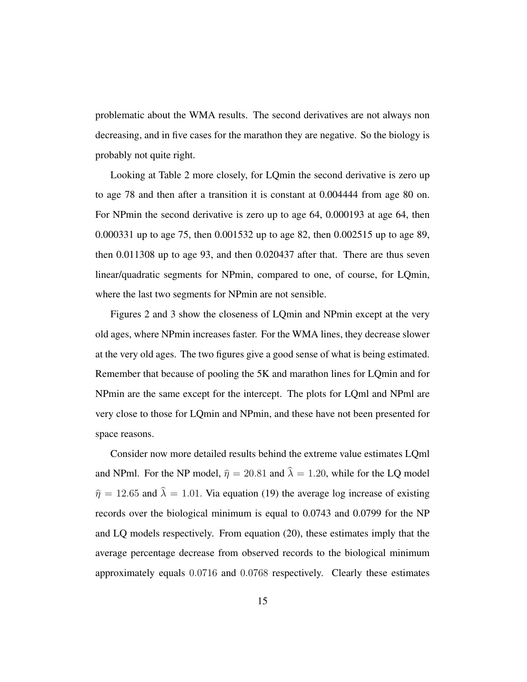problematic about the WMA results. The second derivatives are not always non decreasing, and in five cases for the marathon they are negative. So the biology is probably not quite right.

Looking at Table 2 more closely, for LQmin the second derivative is zero up to age 78 and then after a transition it is constant at 0.004444 from age 80 on. For NPmin the second derivative is zero up to age 64, 0.000193 at age 64, then 0.000331 up to age 75, then 0.001532 up to age 82, then 0.002515 up to age 89, then 0.011308 up to age 93, and then 0.020437 after that. There are thus seven linear/quadratic segments for NPmin, compared to one, of course, for LQmin, where the last two segments for NPmin are not sensible.

Figures 2 and 3 show the closeness of LQmin and NPmin except at the very old ages, where NPmin increases faster. For the WMA lines, they decrease slower at the very old ages. The two figures give a good sense of what is being estimated. Remember that because of pooling the 5K and marathon lines for LQmin and for NPmin are the same except for the intercept. The plots for LQml and NPml are very close to those for LQmin and NPmin, and these have not been presented for space reasons.

Consider now more detailed results behind the extreme value estimates LQml and NPml. For the NP model,  $\hat{\eta} = 20.81$  and  $\hat{\lambda} = 1.20$ , while for the LQ model  $\hat{\eta} = 12.65$  and  $\hat{\lambda} = 1.01$ . Via equation (19) the average log increase of existing records over the biological minimum is equal to 0.0743 and 0.0799 for the NP and LQ models respectively. From equation (20), these estimates imply that the average percentage decrease from observed records to the biological minimum approximately equals 0.0716 and 0.0768 respectively. Clearly these estimates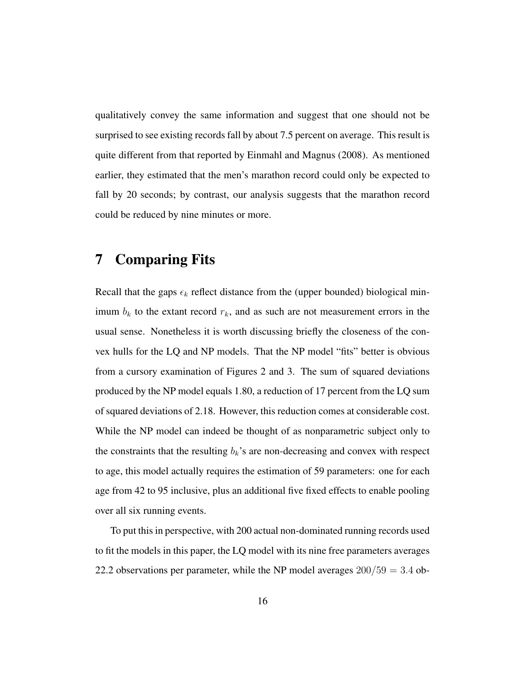qualitatively convey the same information and suggest that one should not be surprised to see existing records fall by about 7.5 percent on average. This result is quite different from that reported by Einmahl and Magnus (2008). As mentioned earlier, they estimated that the men's marathon record could only be expected to fall by 20 seconds; by contrast, our analysis suggests that the marathon record could be reduced by nine minutes or more.

#### 7 Comparing Fits

Recall that the gaps  $\epsilon_k$  reflect distance from the (upper bounded) biological minimum  $b_k$  to the extant record  $r_k$ , and as such are not measurement errors in the usual sense. Nonetheless it is worth discussing briefly the closeness of the convex hulls for the LQ and NP models. That the NP model "fits" better is obvious from a cursory examination of Figures 2 and 3. The sum of squared deviations produced by the NP model equals 1.80, a reduction of 17 percent from the LQ sum of squared deviations of 2.18. However, this reduction comes at considerable cost. While the NP model can indeed be thought of as nonparametric subject only to the constraints that the resulting  $b_k$ 's are non-decreasing and convex with respect to age, this model actually requires the estimation of 59 parameters: one for each age from 42 to 95 inclusive, plus an additional five fixed effects to enable pooling over all six running events.

To put this in perspective, with 200 actual non-dominated running records used to fit the models in this paper, the LQ model with its nine free parameters averages 22.2 observations per parameter, while the NP model averages  $200/59 = 3.4$  ob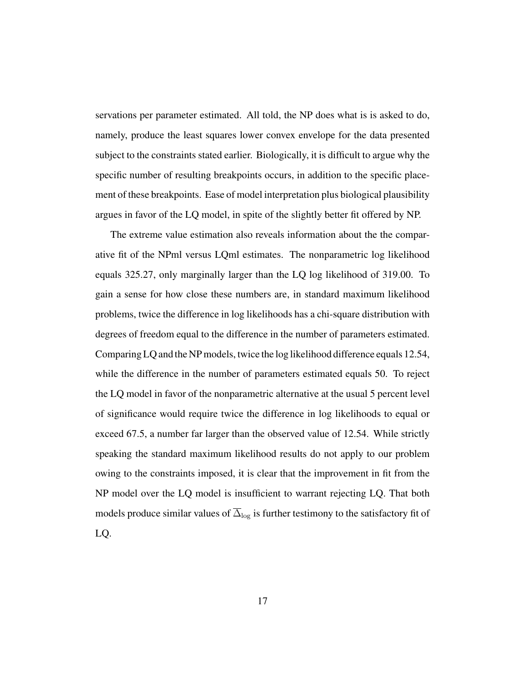servations per parameter estimated. All told, the NP does what is is asked to do, namely, produce the least squares lower convex envelope for the data presented subject to the constraints stated earlier. Biologically, it is difficult to argue why the specific number of resulting breakpoints occurs, in addition to the specific placement of these breakpoints. Ease of model interpretation plus biological plausibility argues in favor of the LQ model, in spite of the slightly better fit offered by NP.

The extreme value estimation also reveals information about the the comparative fit of the NPml versus LQml estimates. The nonparametric log likelihood equals 325.27, only marginally larger than the LQ log likelihood of 319.00. To gain a sense for how close these numbers are, in standard maximum likelihood problems, twice the difference in log likelihoods has a chi-square distribution with degrees of freedom equal to the difference in the number of parameters estimated. Comparing LQ and the NP models, twice the log likelihood difference equals 12.54, while the difference in the number of parameters estimated equals 50. To reject the LQ model in favor of the nonparametric alternative at the usual 5 percent level of significance would require twice the difference in log likelihoods to equal or exceed 67.5, a number far larger than the observed value of 12.54. While strictly speaking the standard maximum likelihood results do not apply to our problem owing to the constraints imposed, it is clear that the improvement in fit from the NP model over the LQ model is insufficient to warrant rejecting LQ. That both models produce similar values of  $\overline{\Delta}_{\log}$  is further testimony to the satisfactory fit of LQ.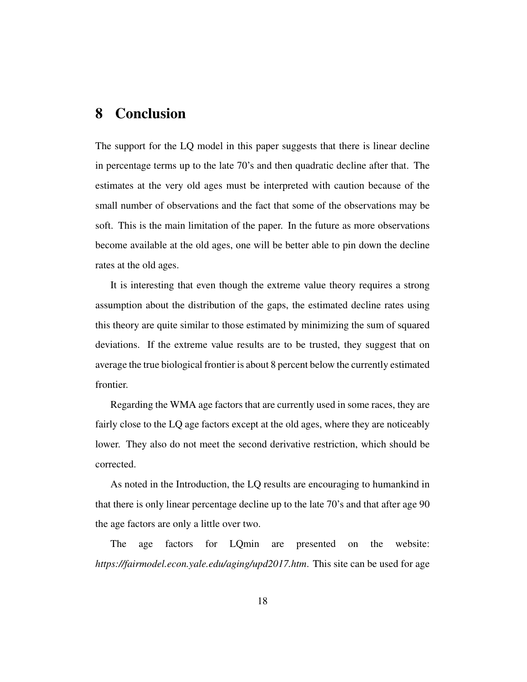### 8 Conclusion

The support for the LQ model in this paper suggests that there is linear decline in percentage terms up to the late 70's and then quadratic decline after that. The estimates at the very old ages must be interpreted with caution because of the small number of observations and the fact that some of the observations may be soft. This is the main limitation of the paper. In the future as more observations become available at the old ages, one will be better able to pin down the decline rates at the old ages.

It is interesting that even though the extreme value theory requires a strong assumption about the distribution of the gaps, the estimated decline rates using this theory are quite similar to those estimated by minimizing the sum of squared deviations. If the extreme value results are to be trusted, they suggest that on average the true biological frontier is about 8 percent below the currently estimated frontier.

Regarding the WMA age factors that are currently used in some races, they are fairly close to the LQ age factors except at the old ages, where they are noticeably lower. They also do not meet the second derivative restriction, which should be corrected.

As noted in the Introduction, the LQ results are encouraging to humankind in that there is only linear percentage decline up to the late 70's and that after age 90 the age factors are only a little over two.

The age factors for LQmin are presented on the website: *https://fairmodel.econ.yale.edu/aging/upd2017.htm*. This site can be used for age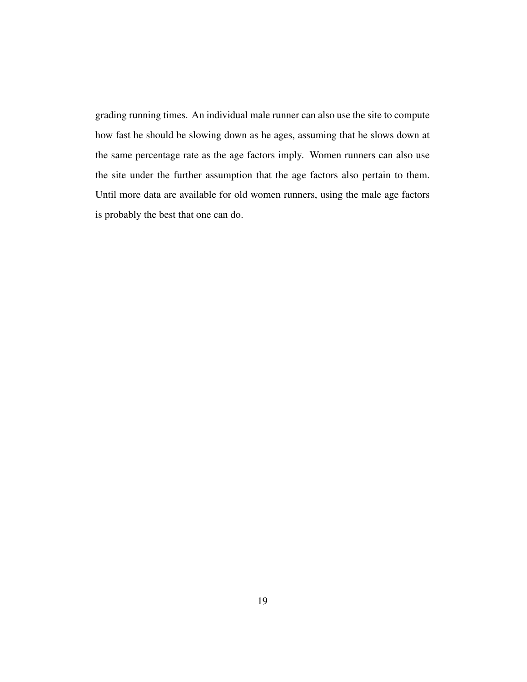grading running times. An individual male runner can also use the site to compute how fast he should be slowing down as he ages, assuming that he slows down at the same percentage rate as the age factors imply. Women runners can also use the site under the further assumption that the age factors also pertain to them. Until more data are available for old women runners, using the male age factors is probably the best that one can do.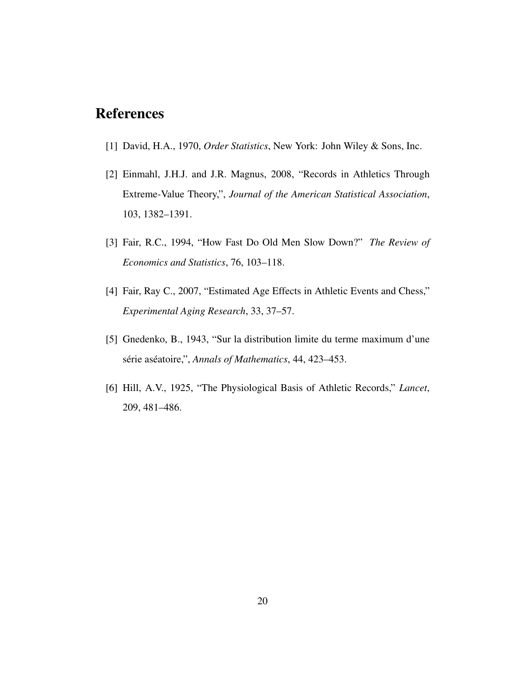## References

- [1] David, H.A., 1970, *Order Statistics*, New York: John Wiley & Sons, Inc.
- [2] Einmahl, J.H.J. and J.R. Magnus, 2008, "Records in Athletics Through Extreme-Value Theory,", *Journal of the American Statistical Association*, 103, 1382–1391.
- [3] Fair, R.C., 1994, "How Fast Do Old Men Slow Down?" *The Review of Economics and Statistics*, 76, 103–118.
- [4] Fair, Ray C., 2007, "Estimated Age Effects in Athletic Events and Chess," *Experimental Aging Research*, 33, 37–57.
- [5] Gnedenko, B., 1943, "Sur la distribution limite du terme maximum d'une série aséatoire,", *Annals of Mathematics*, 44, 423–453.
- [6] Hill, A.V., 1925, "The Physiological Basis of Athletic Records," *Lancet*, 209, 481–486.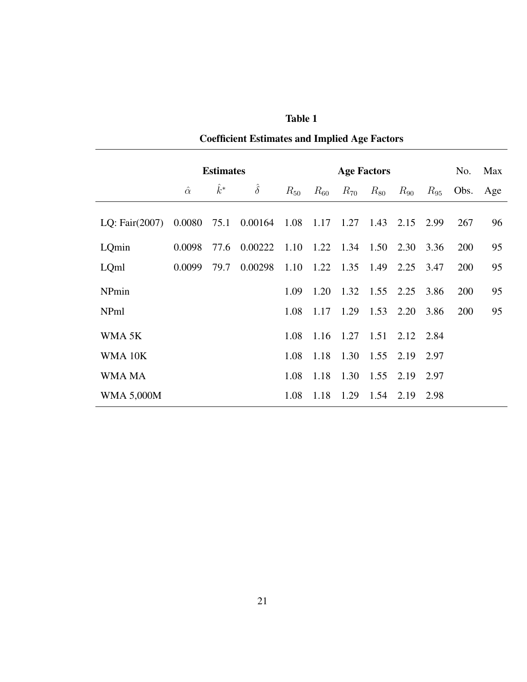|                   | <b>Estimates</b> |       |                                  |                     | <b>Age Factors</b> |                   |          |                          |          | No. | Max      |
|-------------------|------------------|-------|----------------------------------|---------------------|--------------------|-------------------|----------|--------------------------|----------|-----|----------|
|                   | $\hat{\alpha}$   | $k^*$ | $\hat{\delta}$                   | $R_{50}$            | $R_{60}$           | $R_{70}$          | $R_{80}$ | $R_{90}$                 | $R_{95}$ |     | Obs. Age |
| LQ: Fair $(2007)$ | 0.0080           | 75.1  | 0.00164 1.08 1.17 1.27 1.43 2.15 |                     |                    |                   |          |                          | 2.99     | 267 | 96       |
| LQmin             | 0.0098           | 77.6  | 0.00222                          | 1.10 1.22 1.34 1.50 |                    |                   |          | 2.30                     | 3.36     | 200 | 95       |
| LQml              | 0.0099           | 79.7  | 0.00298                          | 1.10                |                    | $1.22 \quad 1.35$ | 1.49     | 2.25                     | 3.47     | 200 | 95       |
| NPmin             |                  |       |                                  | 1.09                | 1.20               | 1.32 1.55 2.25    |          |                          | 3.86     | 200 | 95       |
| NPml              |                  |       |                                  | 1.08                | 1.17               | 1.29              | 1.53     | 2.20                     | 3.86     | 200 | 95       |
| WMA <sub>5K</sub> |                  |       |                                  | 1.08                |                    |                   |          | 1.16 1.27 1.51 2.12 2.84 |          |     |          |
| WMA 10K           |                  |       |                                  | 1.08                |                    | 1.18 1.30 1.55    |          | 2.19                     | 2.97     |     |          |
| WMA MA            |                  |       |                                  | 1.08                | 1.18               | 1.30              | 1.55     | 2.19                     | 2.97     |     |          |
| <b>WMA 5,000M</b> |                  |       |                                  | 1.08                | 1.18               | 1.29              | 1.54     | 2.19                     | 2.98     |     |          |

Coefficient Estimates and Implied Age Factors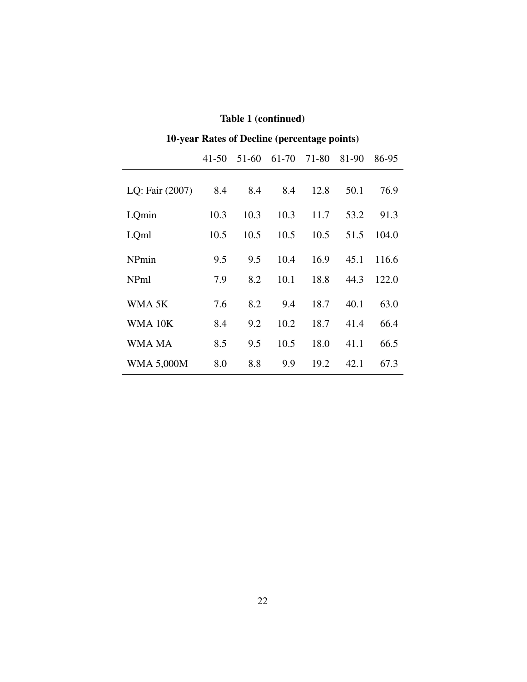| 10-year Rates of Decline (percentage points)           |      |      |      |      |      |       |  |  |  |  |
|--------------------------------------------------------|------|------|------|------|------|-------|--|--|--|--|
| 61-70<br>$41 - 50$<br>51-60<br>71-80<br>81-90<br>86-95 |      |      |      |      |      |       |  |  |  |  |
| LQ: Fair (2007)                                        | 8.4  | 8.4  | 8.4  | 12.8 | 50.1 | 76.9  |  |  |  |  |
| LQmin                                                  | 10.3 | 10.3 | 10.3 | 11.7 | 53.2 | 91.3  |  |  |  |  |
| LQml                                                   | 10.5 | 10.5 | 10.5 | 10.5 | 51.5 | 104.0 |  |  |  |  |
| NPmin                                                  | 9.5  | 9.5  | 10.4 | 16.9 | 45.1 | 116.6 |  |  |  |  |
| NPml                                                   | 7.9  | 8.2  | 10.1 | 18.8 | 44.3 | 122.0 |  |  |  |  |
| WMA <sub>5K</sub>                                      | 7.6  | 8.2  | 9.4  | 18.7 | 40.1 | 63.0  |  |  |  |  |
| WMA 10K                                                | 8.4  | 9.2  | 10.2 | 18.7 | 41.4 | 66.4  |  |  |  |  |
| WMA MA                                                 | 8.5  | 9.5  | 10.5 | 18.0 | 41.1 | 66.5  |  |  |  |  |
| <b>WMA 5,000M</b>                                      | 8.0  | 8.8  | 9.9  | 19.2 | 42.1 | 67.3  |  |  |  |  |

#### Table 1 (continued)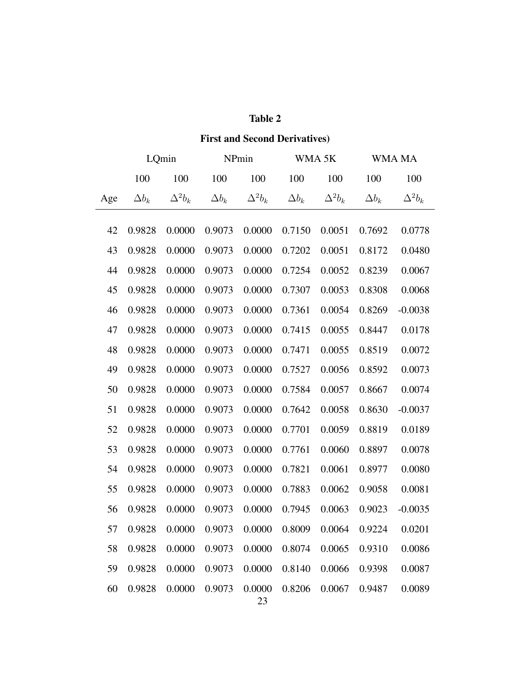| <b>First and Second Derivatives)</b> |                |                |              |                |                   |                |              |                |  |
|--------------------------------------|----------------|----------------|--------------|----------------|-------------------|----------------|--------------|----------------|--|
|                                      | LQmin<br>NPmin |                |              |                | WMA <sub>5K</sub> |                | WMA MA       |                |  |
|                                      | 100            | 100            | 100          | 100            | 100               | 100            | 100          | 100            |  |
| Age                                  | $\Delta b_k$   | $\Delta^2 b_k$ | $\Delta b_k$ | $\Delta^2 b_k$ | $\Delta b_k$      | $\Delta^2 b_k$ | $\Delta b_k$ | $\Delta^2 b_k$ |  |
| 42                                   | 0.9828         | 0.0000         | 0.9073       | 0.0000         | 0.7150            | 0.0051         | 0.7692       | 0.0778         |  |
| 43                                   | 0.9828         | 0.0000         | 0.9073       | 0.0000         | 0.7202            | 0.0051         | 0.8172       | 0.0480         |  |
| 44                                   | 0.9828         | 0.0000         | 0.9073       | 0.0000         | 0.7254            | 0.0052         | 0.8239       | 0.0067         |  |
| 45                                   | 0.9828         | 0.0000         | 0.9073       | 0.0000         | 0.7307            | 0.0053         | 0.8308       | 0.0068         |  |
| 46                                   | 0.9828         | 0.0000         | 0.9073       | 0.0000         | 0.7361            | 0.0054         | 0.8269       | $-0.0038$      |  |
| 47                                   | 0.9828         | 0.0000         | 0.9073       | 0.0000         | 0.7415            | 0.0055         | 0.8447       | 0.0178         |  |
| 48                                   | 0.9828         | 0.0000         | 0.9073       | 0.0000         | 0.7471            | 0.0055         | 0.8519       | 0.0072         |  |
| 49                                   | 0.9828         | 0.0000         | 0.9073       | 0.0000         | 0.7527            | 0.0056         | 0.8592       | 0.0073         |  |
| 50                                   | 0.9828         | 0.0000         | 0.9073       | 0.0000         | 0.7584            | 0.0057         | 0.8667       | 0.0074         |  |
| 51                                   | 0.9828         | 0.0000         | 0.9073       | 0.0000         | 0.7642            | 0.0058         | 0.8630       | $-0.0037$      |  |
| 52                                   | 0.9828         | 0.0000         | 0.9073       | 0.0000         | 0.7701            | 0.0059         | 0.8819       | 0.0189         |  |
| 53                                   | 0.9828         | 0.0000         | 0.9073       | 0.0000         | 0.7761            | 0.0060         | 0.8897       | 0.0078         |  |
| 54                                   | 0.9828         | 0.0000         | 0.9073       | 0.0000         | 0.7821            | 0.0061         | 0.8977       | 0.0080         |  |
| 55                                   | 0.9828         | 0.0000         | 0.9073       | 0.0000         | 0.7883            | 0.0062         | 0.9058       | 0.0081         |  |
| 56                                   | 0.9828         | 0.0000         | 0.9073       | 0.0000         | 0.7945            | 0.0063         | 0.9023       | $-0.0035$      |  |
| 57                                   | 0.9828         | 0.0000         | 0.9073       | 0.0000         | 0.8009            | 0.0064         | 0.9224       | 0.0201         |  |
| 58                                   | 0.9828         | 0.0000         | 0.9073       | 0.0000         | 0.8074            | 0.0065         | 0.9310       | 0.0086         |  |
| 59                                   | 0.9828         | 0.0000         | 0.9073       | 0.0000         | 0.8140            | 0.0066         | 0.9398       | 0.0087         |  |
| 60                                   | 0.9828         | 0.0000         | 0.9073       | 0.0000         | 0.8206            | 0.0067         | 0.9487       | 0.0089         |  |

#### Table 2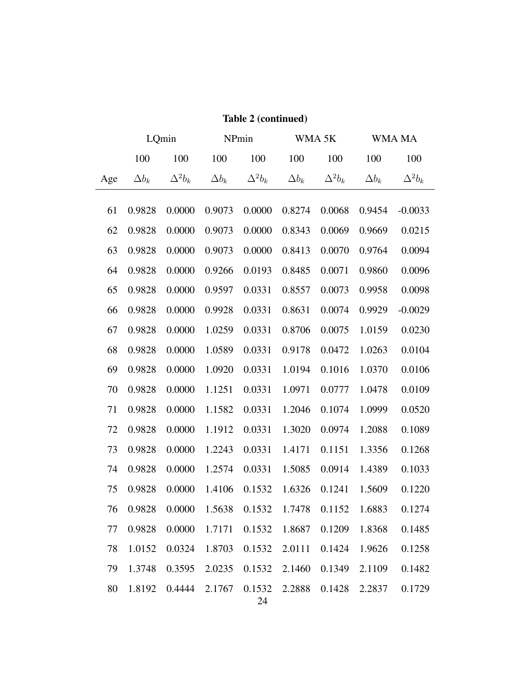|     | LQmin        |                |              | NPmin          |              | WMA 5K         | WMA MA       |                |  |
|-----|--------------|----------------|--------------|----------------|--------------|----------------|--------------|----------------|--|
|     | 100          | 100            | 100          | 100            | 100          | 100            | 100          | 100            |  |
| Age | $\Delta b_k$ | $\Delta^2 b_k$ | $\Delta b_k$ | $\Delta^2 b_k$ | $\Delta b_k$ | $\Delta^2 b_k$ | $\Delta b_k$ | $\Delta^2 b_k$ |  |
|     |              |                |              | 0.0000         |              | 0.0068         |              |                |  |
| 61  | 0.9828       | 0.0000         | 0.9073       |                | 0.8274       |                | 0.9454       | $-0.0033$      |  |
| 62  | 0.9828       | 0.0000         | 0.9073       | 0.0000         | 0.8343       | 0.0069         | 0.9669       | 0.0215         |  |
| 63  | 0.9828       | 0.0000         | 0.9073       | 0.0000         | 0.8413       | 0.0070         | 0.9764       | 0.0094         |  |
| 64  | 0.9828       | 0.0000         | 0.9266       | 0.0193         | 0.8485       | 0.0071         | 0.9860       | 0.0096         |  |
| 65  | 0.9828       | 0.0000         | 0.9597       | 0.0331         | 0.8557       | 0.0073         | 0.9958       | 0.0098         |  |
| 66  | 0.9828       | 0.0000         | 0.9928       | 0.0331         | 0.8631       | 0.0074         | 0.9929       | $-0.0029$      |  |
| 67  | 0.9828       | 0.0000         | 1.0259       | 0.0331         | 0.8706       | 0.0075         | 1.0159       | 0.0230         |  |
| 68  | 0.9828       | 0.0000         | 1.0589       | 0.0331         | 0.9178       | 0.0472         | 1.0263       | 0.0104         |  |
| 69  | 0.9828       | 0.0000         | 1.0920       | 0.0331         | 1.0194       | 0.1016         | 1.0370       | 0.0106         |  |
| 70  | 0.9828       | 0.0000         | 1.1251       | 0.0331         | 1.0971       | 0.0777         | 1.0478       | 0.0109         |  |
| 71  | 0.9828       | 0.0000         | 1.1582       | 0.0331         | 1.2046       | 0.1074         | 1.0999       | 0.0520         |  |
| 72  | 0.9828       | 0.0000         | 1.1912       | 0.0331         | 1.3020       | 0.0974         | 1.2088       | 0.1089         |  |
| 73  | 0.9828       | 0.0000         | 1.2243       | 0.0331         | 1.4171       | 0.1151         | 1.3356       | 0.1268         |  |
| 74  | 0.9828       | 0.0000         | 1.2574       | 0.0331         | 1.5085       | 0.0914         | 1.4389       | 0.1033         |  |
| 75  | 0.9828       | 0.0000         | 1.4106       | 0.1532         | 1.6326       | 0.1241         | 1.5609       | 0.1220         |  |
| 76  | 0.9828       | 0.0000         | 1.5638       | 0.1532         | 1.7478       | 0.1152         | 1.6883       | 0.1274         |  |
| 77  | 0.9828       | 0.0000         | 1.7171       | 0.1532         | 1.8687       | 0.1209         | 1.8368       | 0.1485         |  |
| 78  | 1.0152       | 0.0324         | 1.8703       | 0.1532         | 2.0111       | 0.1424         | 1.9626       | 0.1258         |  |
| 79  | 1.3748       | 0.3595         | 2.0235       | 0.1532         | 2.1460       | 0.1349         | 2.1109       | 0.1482         |  |
| 80  | 1.8192       | 0.4444         | 2.1767       | 0.1532<br>24   | 2.2888       | 0.1428         | 2.2837       | 0.1729         |  |

#### Table 2 (continued)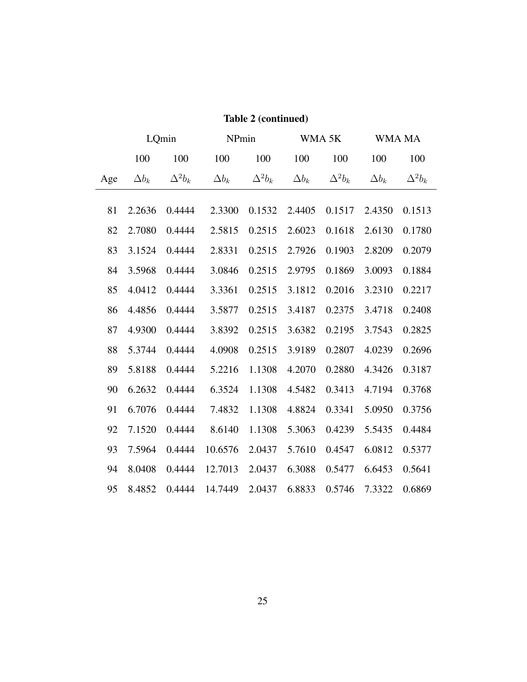|     | LQmin        |                | NPmin        |                |              | WMA 5K         | WMA MA       |                |  |
|-----|--------------|----------------|--------------|----------------|--------------|----------------|--------------|----------------|--|
|     | 100          | 100            | 100          | 100            | 100          | 100            | 100          | 100            |  |
| Age | $\Delta b_k$ | $\Delta^2 b_k$ | $\Delta b_k$ | $\Delta^2 b_k$ | $\Delta b_k$ | $\Delta^2 b_k$ | $\Delta b_k$ | $\Delta^2 b_k$ |  |
|     |              |                |              |                |              |                |              |                |  |
| 81  | 2.2636       | 0.4444         | 2.3300       | 0.1532         | 2.4405       | 0.1517         | 2.4350       | 0.1513         |  |
| 82  | 2.7080       | 0.4444         | 2.5815       | 0.2515         | 2.6023       | 0.1618         | 2.6130       | 0.1780         |  |
| 83  | 3.1524       | 0.4444         | 2.8331       | 0.2515         | 2.7926       | 0.1903         | 2.8209       | 0.2079         |  |
| 84  | 3.5968       | 0.4444         | 3.0846       | 0.2515         | 2.9795       | 0.1869         | 3.0093       | 0.1884         |  |
| 85  | 4.0412       | 0.4444         | 3.3361       | 0.2515         | 3.1812       | 0.2016         | 3.2310       | 0.2217         |  |
| 86  | 4.4856       | 0.4444         | 3.5877       | 0.2515         | 3.4187       | 0.2375         | 3.4718       | 0.2408         |  |
| 87  | 4.9300       | 0.4444         | 3.8392       | 0.2515         | 3.6382       | 0.2195         | 3.7543       | 0.2825         |  |
| 88  | 5.3744       | 0.4444         | 4.0908       | 0.2515         | 3.9189       | 0.2807         | 4.0239       | 0.2696         |  |
| 89  | 5.8188       | 0.4444         | 5.2216       | 1.1308         | 4.2070       | 0.2880         | 4.3426       | 0.3187         |  |
| 90  | 6.2632       | 0.4444         | 6.3524       | 1.1308         | 4.5482       | 0.3413         | 4.7194       | 0.3768         |  |
| 91  | 6.7076       | 0.4444         | 7.4832       | 1.1308         | 4.8824       | 0.3341         | 5.0950       | 0.3756         |  |
| 92  | 7.1520       | 0.4444         | 8.6140       | 1.1308         | 5.3063       | 0.4239         | 5.5435       | 0.4484         |  |
| 93  | 7.5964       | 0.4444         | 10.6576      | 2.0437         | 5.7610       | 0.4547         | 6.0812       | 0.5377         |  |
| 94  | 8.0408       | 0.4444         | 12.7013      | 2.0437         | 6.3088       | 0.5477         | 6.6453       | 0.5641         |  |
| 95  | 8.4852       | 0.4444         | 14.7449      | 2.0437         | 6.8833       | 0.5746         | 7.3322       | 0.6869         |  |

#### Table 2 (continued)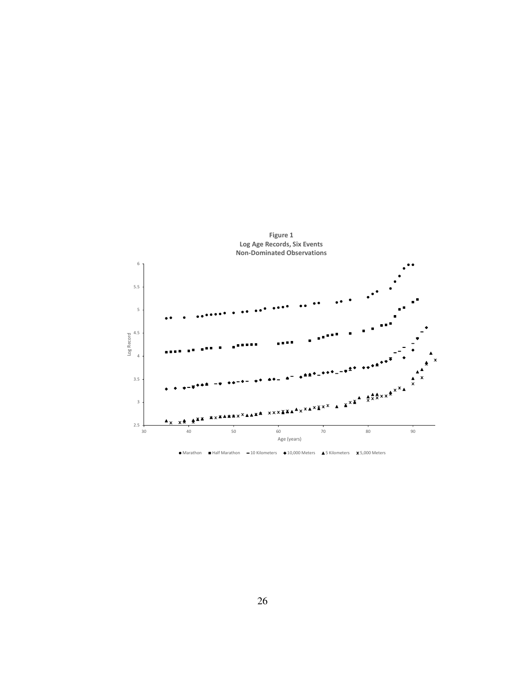

● Marathon Half Marathon -10 Kilometers +10,000 Meters +5 Kilometers \*5,000 Meters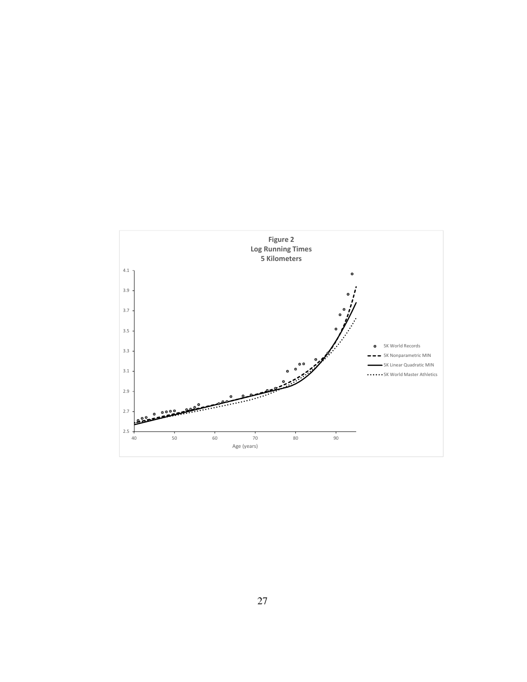

27